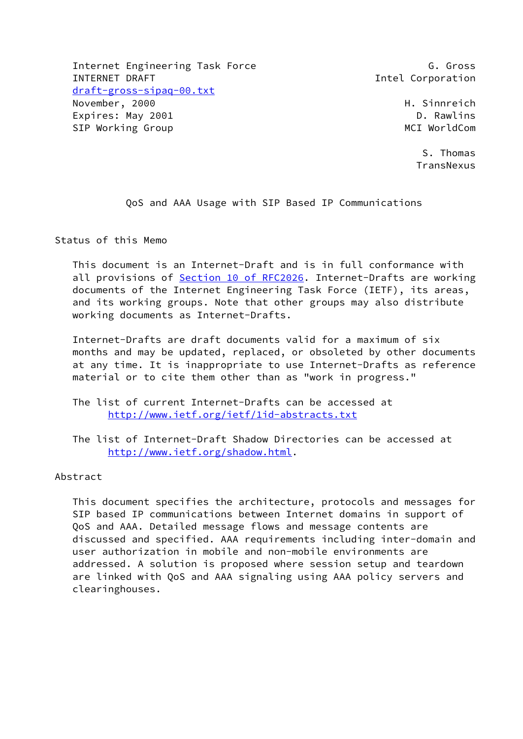Internet Engineering Task Force G. Gross G. Gross INTERNET DRAFT **Intel Communist Communist Communist Communist Communist Communist Communist Communist Communist Communist Communist Communist Communist Communist Communist Communist Communist Communist Communist Communist**  [draft-gross-sipaq-00.txt](https://datatracker.ietf.org/doc/pdf/draft-gross-sipaq-00.txt) November, 2000 **H. Sinnreich**  Expires: May 2001 D. Rawlins SIP Working Group and the state of the MCI WorldCom

 S. Thomas **TransNexus** 

QoS and AAA Usage with SIP Based IP Communications

Status of this Memo

 This document is an Internet-Draft and is in full conformance with all provisions of Section [10 of RFC2026.](https://datatracker.ietf.org/doc/pdf/rfc2026#section-10) Internet-Drafts are working documents of the Internet Engineering Task Force (IETF), its areas, and its working groups. Note that other groups may also distribute working documents as Internet-Drafts.

 Internet-Drafts are draft documents valid for a maximum of six months and may be updated, replaced, or obsoleted by other documents at any time. It is inappropriate to use Internet-Drafts as reference material or to cite them other than as "work in progress."

 The list of current Internet-Drafts can be accessed at <http://www.ietf.org/ietf/1id-abstracts.txt>

 The list of Internet-Draft Shadow Directories can be accessed at <http://www.ietf.org/shadow.html>.

Abstract

 This document specifies the architecture, protocols and messages for SIP based IP communications between Internet domains in support of QoS and AAA. Detailed message flows and message contents are discussed and specified. AAA requirements including inter-domain and user authorization in mobile and non-mobile environments are addressed. A solution is proposed where session setup and teardown are linked with QoS and AAA signaling using AAA policy servers and clearinghouses.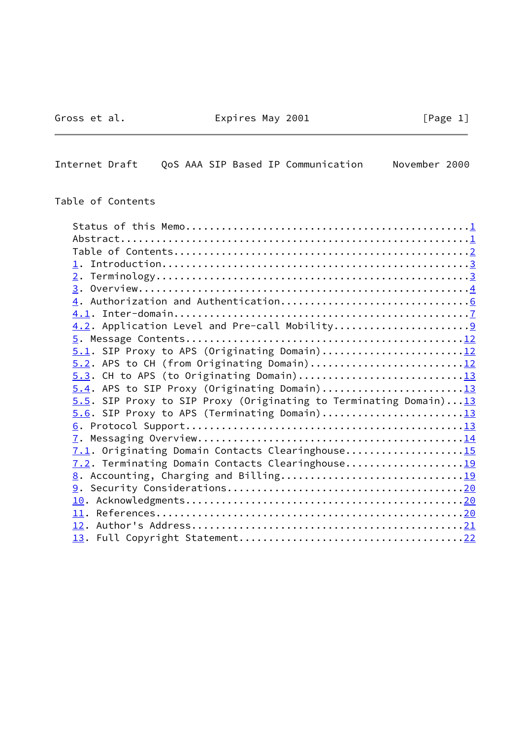# Gross et al. **Expires May 2001** [Page 1]

 $\sim$   $\sim$ 

<span id="page-1-0"></span>Internet Draft QoS AAA SIP Based IP Communication November 2000

## Table of Contents

| 5.1. SIP Proxy to APS (Originating Domain)12                      |  |
|-------------------------------------------------------------------|--|
| 5.2. APS to CH (from Originating Domain)12                        |  |
| $5.3$ . CH to APS (to Originating Domain)13                       |  |
| $5.4$ . APS to SIP Proxy (Originating Domain)13                   |  |
| 5.5. SIP Proxy to SIP Proxy (Originating to Terminating Domain)13 |  |
| 5.6. SIP Proxy to APS (Terminating Domain)13                      |  |
|                                                                   |  |
|                                                                   |  |
| 7.1. Originating Domain Contacts Clearinghouse15                  |  |
| 7.2. Terminating Domain Contacts Clearinghouse19                  |  |
|                                                                   |  |
|                                                                   |  |
|                                                                   |  |
|                                                                   |  |
|                                                                   |  |
|                                                                   |  |
|                                                                   |  |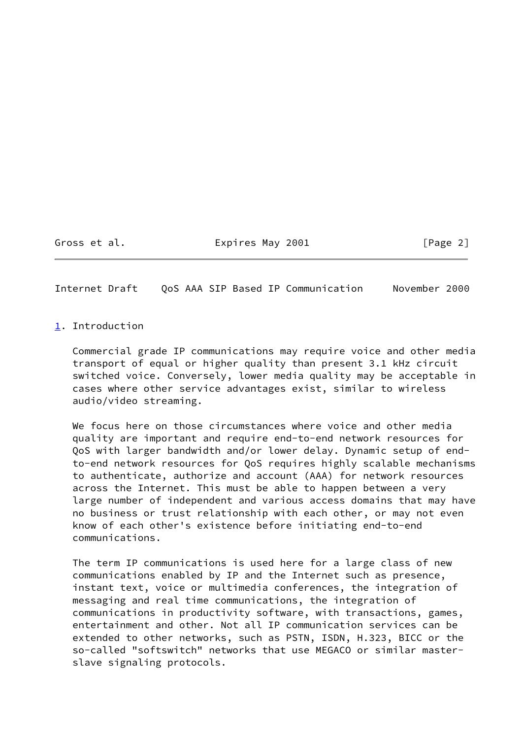Gross et al. Expires May 2001 [Page 2]

<span id="page-2-1"></span>Internet Draft QoS AAA SIP Based IP Communication November 2000

<span id="page-2-0"></span>[1](#page-2-0). Introduction

 Commercial grade IP communications may require voice and other media transport of equal or higher quality than present 3.1 kHz circuit switched voice. Conversely, lower media quality may be acceptable in cases where other service advantages exist, similar to wireless audio/video streaming.

 We focus here on those circumstances where voice and other media quality are important and require end-to-end network resources for QoS with larger bandwidth and/or lower delay. Dynamic setup of end to-end network resources for QoS requires highly scalable mechanisms to authenticate, authorize and account (AAA) for network resources across the Internet. This must be able to happen between a very large number of independent and various access domains that may have no business or trust relationship with each other, or may not even know of each other's existence before initiating end-to-end communications.

 The term IP communications is used here for a large class of new communications enabled by IP and the Internet such as presence, instant text, voice or multimedia conferences, the integration of messaging and real time communications, the integration of communications in productivity software, with transactions, games, entertainment and other. Not all IP communication services can be extended to other networks, such as PSTN, ISDN, H.323, BICC or the so-called "softswitch" networks that use MEGACO or similar master slave signaling protocols.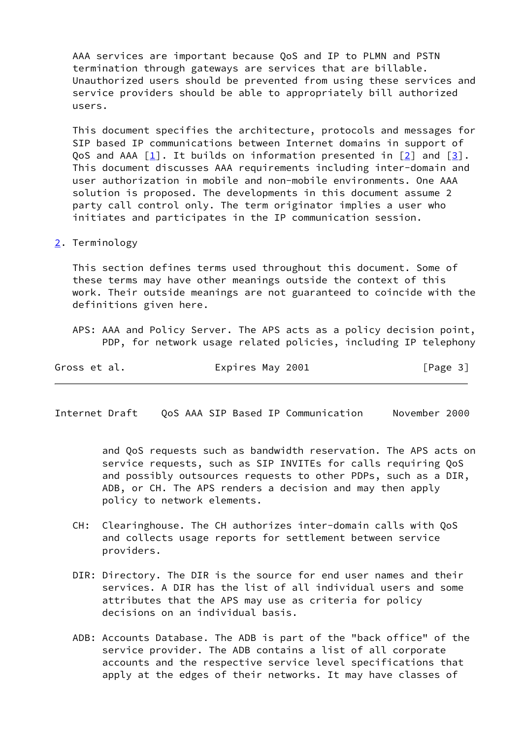AAA services are important because QoS and IP to PLMN and PSTN termination through gateways are services that are billable. Unauthorized users should be prevented from using these services and service providers should be able to appropriately bill authorized users.

 This document specifies the architecture, protocols and messages for SIP based IP communications between Internet domains in support of QoS and AAA  $\lceil 1 \rceil$ . It builds on information presented in  $\lceil 2 \rceil$  and  $\lceil 3 \rceil$ . This document discusses AAA requirements including inter-domain and user authorization in mobile and non-mobile environments. One AAA solution is proposed. The developments in this document assume 2 party call control only. The term originator implies a user who initiates and participates in the IP communication session.

### <span id="page-3-0"></span>[2](#page-3-0). Terminology

 This section defines terms used throughout this document. Some of these terms may have other meanings outside the context of this work. Their outside meanings are not guaranteed to coincide with the definitions given here.

 APS: AAA and Policy Server. The APS acts as a policy decision point, PDP, for network usage related policies, including IP telephony

| Gross et al. | Expires May 2001 | [Page 3] |
|--------------|------------------|----------|
|              |                  |          |

<span id="page-3-1"></span>Internet Draft QoS AAA SIP Based IP Communication November 2000

 and QoS requests such as bandwidth reservation. The APS acts on service requests, such as SIP INVITEs for calls requiring QoS and possibly outsources requests to other PDPs, such as a DIR, ADB, or CH. The APS renders a decision and may then apply policy to network elements.

- CH: Clearinghouse. The CH authorizes inter-domain calls with QoS and collects usage reports for settlement between service providers.
- DIR: Directory. The DIR is the source for end user names and their services. A DIR has the list of all individual users and some attributes that the APS may use as criteria for policy decisions on an individual basis.
- ADB: Accounts Database. The ADB is part of the "back office" of the service provider. The ADB contains a list of all corporate accounts and the respective service level specifications that apply at the edges of their networks. It may have classes of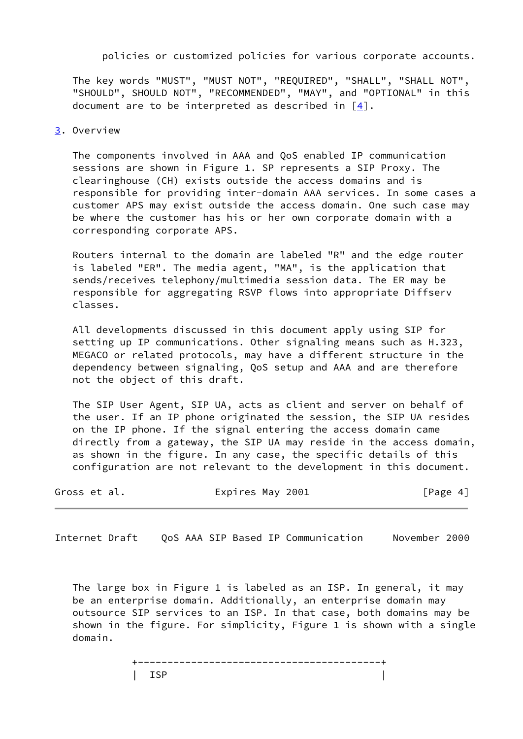policies or customized policies for various corporate accounts.

 The key words "MUST", "MUST NOT", "REQUIRED", "SHALL", "SHALL NOT", "SHOULD", SHOULD NOT", "RECOMMENDED", "MAY", and "OPTIONAL" in this document are to be interpreted as described in  $[4]$  $[4]$ .

#### <span id="page-4-0"></span>[3](#page-4-0). Overview

 The components involved in AAA and QoS enabled IP communication sessions are shown in Figure 1. SP represents a SIP Proxy. The clearinghouse (CH) exists outside the access domains and is responsible for providing inter-domain AAA services. In some cases a customer APS may exist outside the access domain. One such case may be where the customer has his or her own corporate domain with a corresponding corporate APS.

 Routers internal to the domain are labeled "R" and the edge router is labeled "ER". The media agent, "MA", is the application that sends/receives telephony/multimedia session data. The ER may be responsible for aggregating RSVP flows into appropriate Diffserv classes.

 All developments discussed in this document apply using SIP for setting up IP communications. Other signaling means such as H.323, MEGACO or related protocols, may have a different structure in the dependency between signaling, QoS setup and AAA and are therefore not the object of this draft.

 The SIP User Agent, SIP UA, acts as client and server on behalf of the user. If an IP phone originated the session, the SIP UA resides on the IP phone. If the signal entering the access domain came directly from a gateway, the SIP UA may reside in the access domain, as shown in the figure. In any case, the specific details of this configuration are not relevant to the development in this document.

| Gross et al. | Expires May 2001 | [Page 4] |
|--------------|------------------|----------|
|              |                  |          |

Internet Draft QoS AAA SIP Based IP Communication November 2000

 The large box in Figure 1 is labeled as an ISP. In general, it may be an enterprise domain. Additionally, an enterprise domain may outsource SIP services to an ISP. In that case, both domains may be shown in the figure. For simplicity, Figure 1 is shown with a single domain.

 +-----------------------------------------+ | ISP |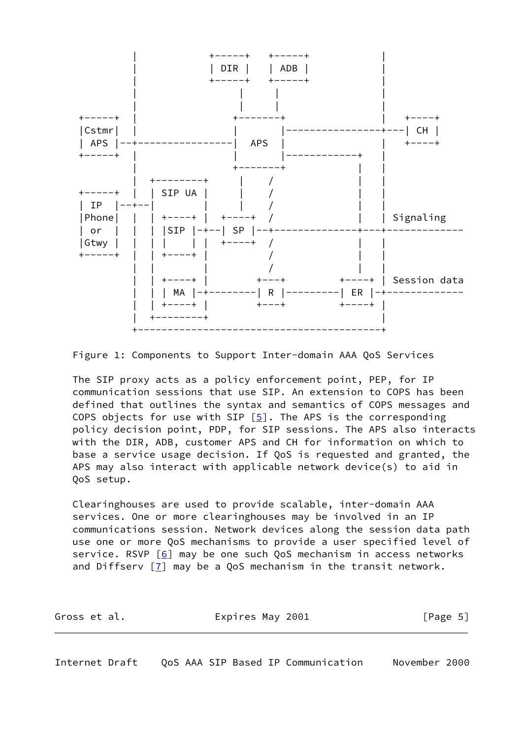

Figure 1: Components to Support Inter-domain AAA QoS Services

 The SIP proxy acts as a policy enforcement point, PEP, for IP communication sessions that use SIP. An extension to COPS has been defined that outlines the syntax and semantics of COPS messages and COPS objects for use with SIP  $[5]$  $[5]$ . The APS is the corresponding policy decision point, PDP, for SIP sessions. The APS also interacts with the DIR, ADB, customer APS and CH for information on which to base a service usage decision. If QoS is requested and granted, the APS may also interact with applicable network device(s) to aid in QoS setup.

 Clearinghouses are used to provide scalable, inter-domain AAA services. One or more clearinghouses may be involved in an IP communications session. Network devices along the session data path use one or more QoS mechanisms to provide a user specified level of service. RSVP [[6\]](#page-23-9) may be one such QoS mechanism in access networks and Diffserv  $\boxed{7}$  may be a QoS mechanism in the transit network.

| Gross et al. | Expires May 2001 | [Page 5] |
|--------------|------------------|----------|
|              |                  |          |

<span id="page-5-0"></span>Internet Draft QoS AAA SIP Based IP Communication November 2000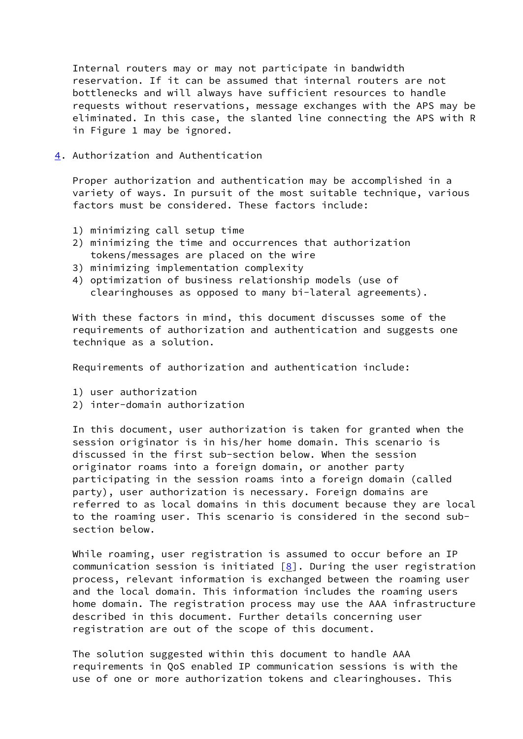Internal routers may or may not participate in bandwidth reservation. If it can be assumed that internal routers are not bottlenecks and will always have sufficient resources to handle requests without reservations, message exchanges with the APS may be eliminated. In this case, the slanted line connecting the APS with R in Figure 1 may be ignored.

<span id="page-6-0"></span>[4](#page-6-0). Authorization and Authentication

 Proper authorization and authentication may be accomplished in a variety of ways. In pursuit of the most suitable technique, various factors must be considered. These factors include:

- 1) minimizing call setup time
- 2) minimizing the time and occurrences that authorization tokens/messages are placed on the wire
- 3) minimizing implementation complexity
- 4) optimization of business relationship models (use of clearinghouses as opposed to many bi-lateral agreements).

 With these factors in mind, this document discusses some of the requirements of authorization and authentication and suggests one technique as a solution.

Requirements of authorization and authentication include:

- 1) user authorization
- 2) inter-domain authorization

 In this document, user authorization is taken for granted when the session originator is in his/her home domain. This scenario is discussed in the first sub-section below. When the session originator roams into a foreign domain, or another party participating in the session roams into a foreign domain (called party), user authorization is necessary. Foreign domains are referred to as local domains in this document because they are local to the roaming user. This scenario is considered in the second sub section below.

 While roaming, user registration is assumed to occur before an IP communication session is initiated  $[8]$  $[8]$ . During the user registration process, relevant information is exchanged between the roaming user and the local domain. This information includes the roaming users home domain. The registration process may use the AAA infrastructure described in this document. Further details concerning user registration are out of the scope of this document.

 The solution suggested within this document to handle AAA requirements in QoS enabled IP communication sessions is with the use of one or more authorization tokens and clearinghouses. This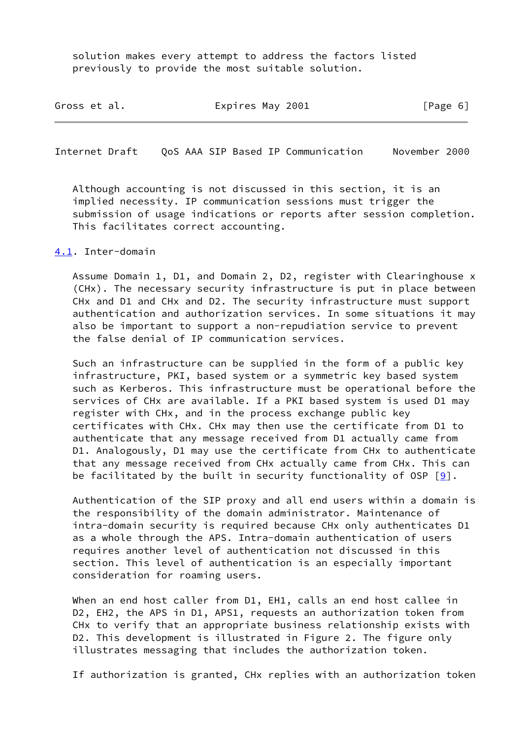solution makes every attempt to address the factors listed previously to provide the most suitable solution.

| Gross et al. | Expires May 2001 | [Page 6] |
|--------------|------------------|----------|
|              |                  |          |

<span id="page-7-1"></span>Internet Draft QoS AAA SIP Based IP Communication November 2000

 Although accounting is not discussed in this section, it is an implied necessity. IP communication sessions must trigger the submission of usage indications or reports after session completion. This facilitates correct accounting.

### <span id="page-7-0"></span>[4.1](#page-7-0). Inter-domain

 Assume Domain 1, D1, and Domain 2, D2, register with Clearinghouse x (CHx). The necessary security infrastructure is put in place between CHx and D1 and CHx and D2. The security infrastructure must support authentication and authorization services. In some situations it may also be important to support a non-repudiation service to prevent the false denial of IP communication services.

 Such an infrastructure can be supplied in the form of a public key infrastructure, PKI, based system or a symmetric key based system such as Kerberos. This infrastructure must be operational before the services of CHx are available. If a PKI based system is used D1 may register with CHx, and in the process exchange public key certificates with CHx. CHx may then use the certificate from D1 to authenticate that any message received from D1 actually came from D1. Analogously, D1 may use the certificate from CHx to authenticate that any message received from CHx actually came from CHx. This can be facilitated by the built in security functionality of OSP  $[9]$ .

 Authentication of the SIP proxy and all end users within a domain is the responsibility of the domain administrator. Maintenance of intra-domain security is required because CHx only authenticates D1 as a whole through the APS. Intra-domain authentication of users requires another level of authentication not discussed in this section. This level of authentication is an especially important consideration for roaming users.

 When an end host caller from D1, EH1, calls an end host callee in D2, EH2, the APS in D1, APS1, requests an authorization token from CHx to verify that an appropriate business relationship exists with D2. This development is illustrated in Figure 2. The figure only illustrates messaging that includes the authorization token.

If authorization is granted, CHx replies with an authorization token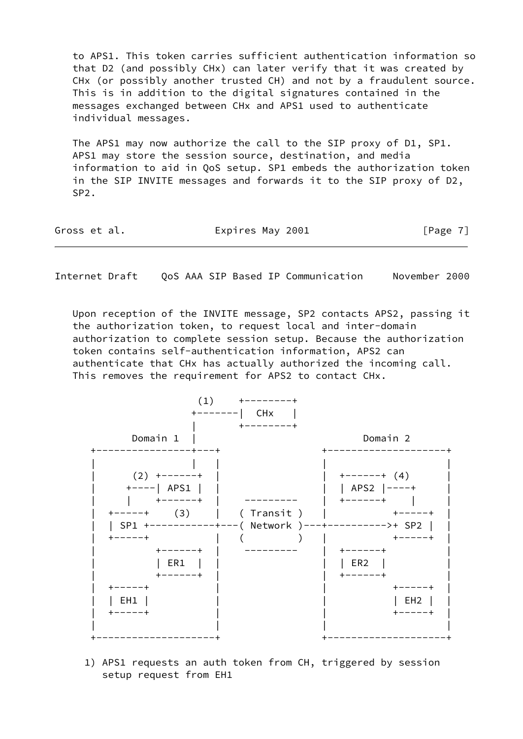to APS1. This token carries sufficient authentication information so that D2 (and possibly CHx) can later verify that it was created by CHx (or possibly another trusted CH) and not by a fraudulent source. This is in addition to the digital signatures contained in the messages exchanged between CHx and APS1 used to authenticate individual messages.

 The APS1 may now authorize the call to the SIP proxy of D1, SP1. APS1 may store the session source, destination, and media information to aid in QoS setup. SP1 embeds the authorization token in the SIP INVITE messages and forwards it to the SIP proxy of D2, SP2.

| Expires May 2001<br>Gross et al. | [Page 7] |
|----------------------------------|----------|
|----------------------------------|----------|

Internet Draft QoS AAA SIP Based IP Communication November 2000

 Upon reception of the INVITE message, SP2 contacts APS2, passing it the authorization token, to request local and inter-domain authorization to complete session setup. Because the authorization token contains self-authentication information, APS2 can authenticate that CHx has actually authorized the incoming call. This removes the requirement for APS2 to contact CHx.



 1) APS1 requests an auth token from CH, triggered by session setup request from EH1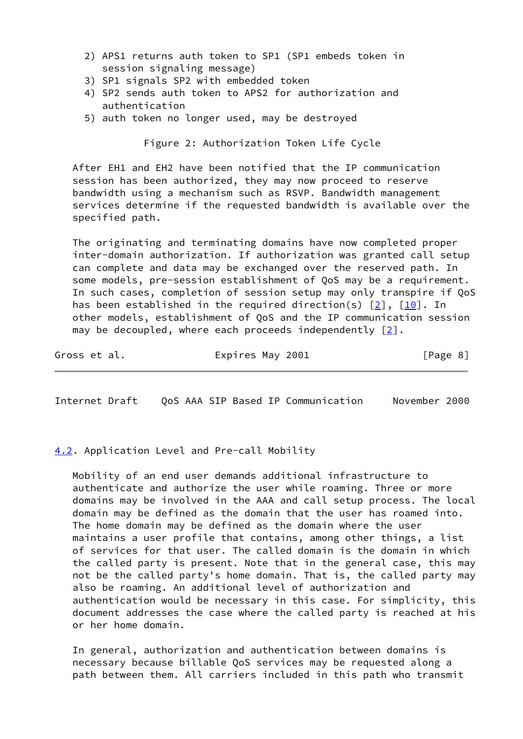- 2) APS1 returns auth token to SP1 (SP1 embeds token in session signaling message)
- 3) SP1 signals SP2 with embedded token
- 4) SP2 sends auth token to APS2 for authorization and authentication
- 5) auth token no longer used, may be destroyed

Figure 2: Authorization Token Life Cycle

 After EH1 and EH2 have been notified that the IP communication session has been authorized, they may now proceed to reserve bandwidth using a mechanism such as RSVP. Bandwidth management services determine if the requested bandwidth is available over the specified path.

 The originating and terminating domains have now completed proper inter-domain authorization. If authorization was granted call setup can complete and data may be exchanged over the reserved path. In some models, pre-session establishment of QoS may be a requirement. In such cases, completion of session setup may only transpire if QoS has been established in the required direction(s)  $[2]$  $[2]$ ,  $[10]$  $[10]$ . In other models, establishment of QoS and the IP communication session may be decoupled, where each proceeds independently  $\lceil 2 \rceil$ .

Gross et al. Expires May 2001 [Page 8]

<span id="page-9-1"></span>Internet Draft QoS AAA SIP Based IP Communication November 2000

<span id="page-9-0"></span>[4.2](#page-9-0). Application Level and Pre-call Mobility

 Mobility of an end user demands additional infrastructure to authenticate and authorize the user while roaming. Three or more domains may be involved in the AAA and call setup process. The local domain may be defined as the domain that the user has roamed into. The home domain may be defined as the domain where the user maintains a user profile that contains, among other things, a list of services for that user. The called domain is the domain in which the called party is present. Note that in the general case, this may not be the called party's home domain. That is, the called party may also be roaming. An additional level of authorization and authentication would be necessary in this case. For simplicity, this document addresses the case where the called party is reached at his or her home domain.

 In general, authorization and authentication between domains is necessary because billable QoS services may be requested along a path between them. All carriers included in this path who transmit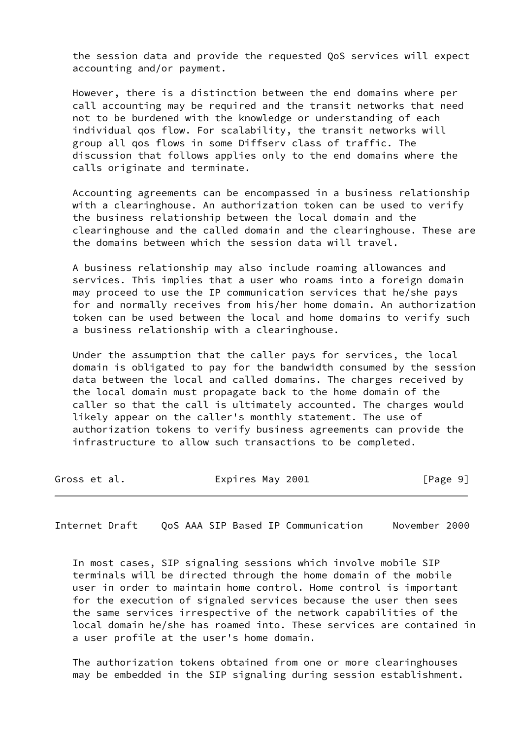the session data and provide the requested QoS services will expect accounting and/or payment.

 However, there is a distinction between the end domains where per call accounting may be required and the transit networks that need not to be burdened with the knowledge or understanding of each individual qos flow. For scalability, the transit networks will group all qos flows in some Diffserv class of traffic. The discussion that follows applies only to the end domains where the calls originate and terminate.

 Accounting agreements can be encompassed in a business relationship with a clearinghouse. An authorization token can be used to verify the business relationship between the local domain and the clearinghouse and the called domain and the clearinghouse. These are the domains between which the session data will travel.

 A business relationship may also include roaming allowances and services. This implies that a user who roams into a foreign domain may proceed to use the IP communication services that he/she pays for and normally receives from his/her home domain. An authorization token can be used between the local and home domains to verify such a business relationship with a clearinghouse.

 Under the assumption that the caller pays for services, the local domain is obligated to pay for the bandwidth consumed by the session data between the local and called domains. The charges received by the local domain must propagate back to the home domain of the caller so that the call is ultimately accounted. The charges would likely appear on the caller's monthly statement. The use of authorization tokens to verify business agreements can provide the infrastructure to allow such transactions to be completed.

| Gross et al. | Expires May 2001 | [Page 9] |
|--------------|------------------|----------|
|--------------|------------------|----------|

Internet Draft QoS AAA SIP Based IP Communication November 2000

 In most cases, SIP signaling sessions which involve mobile SIP terminals will be directed through the home domain of the mobile user in order to maintain home control. Home control is important for the execution of signaled services because the user then sees the same services irrespective of the network capabilities of the local domain he/she has roamed into. These services are contained in a user profile at the user's home domain.

 The authorization tokens obtained from one or more clearinghouses may be embedded in the SIP signaling during session establishment.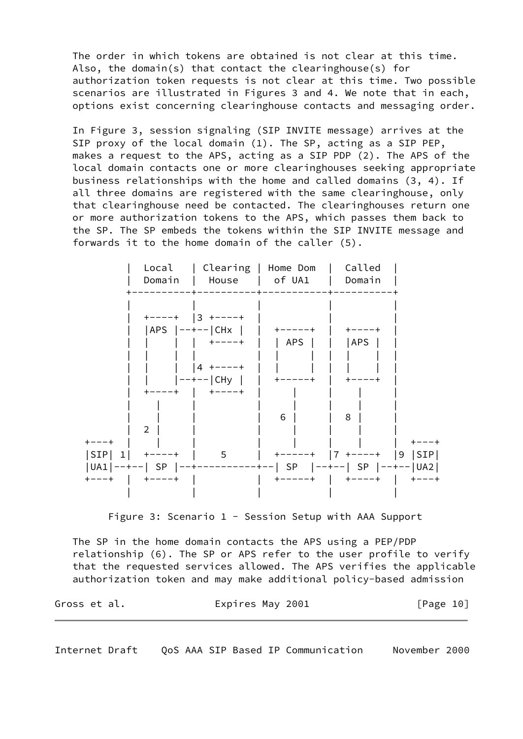The order in which tokens are obtained is not clear at this time. Also, the domain(s) that contact the clearinghouse(s) for authorization token requests is not clear at this time. Two possible scenarios are illustrated in Figures 3 and 4. We note that in each, options exist concerning clearinghouse contacts and messaging order.

 In Figure 3, session signaling (SIP INVITE message) arrives at the SIP proxy of the local domain (1). The SP, acting as a SIP PEP, makes a request to the APS, acting as a SIP PDP (2). The APS of the local domain contacts one or more clearinghouses seeking appropriate business relationships with the home and called domains (3, 4). If all three domains are registered with the same clearinghouse, only that clearinghouse need be contacted. The clearinghouses return one or more authorization tokens to the APS, which passes them back to the SP. The SP embeds the tokens within the SIP INVITE message and forwards it to the home domain of the caller (5).

|             |                                                             | Local   Clearing   Home Dom<br>Domain   House   of UA1<br>----------+---- |                                                                 | Called<br>Domain                    |  |
|-------------|-------------------------------------------------------------|---------------------------------------------------------------------------|-----------------------------------------------------------------|-------------------------------------|--|
|             | $+---+$ 3 $+---+$<br>$ APS   -- ---   CHx  $<br>$+ - - - +$ | +----+<br>$ 4$ +----+<br>$ ----- CHy $<br>- +----+                        | +-----+<br>  APS  <br>$+ - - - - - +$                           | $+ - - - +$<br> APS <br>$+ - - - +$ |  |
| $+ - - - +$ | $\mathcal{L}$<br>$ SIP $ 1 +----+                           | 5                                                                         | 6<br> UA1 --+--  SP  --+----------+--  SP  --+--  SP  --+-- UA2 | 8<br><b>+----+   +---+</b>          |  |

Figure 3: Scenario 1 - Session Setup with AAA Support

 The SP in the home domain contacts the APS using a PEP/PDP relationship (6). The SP or APS refer to the user profile to verify that the requested services allowed. The APS verifies the applicable authorization token and may make additional policy-based admission

Gross et al. **Expires May 2001** [Page 10]

Internet Draft QoS AAA SIP Based IP Communication November 2000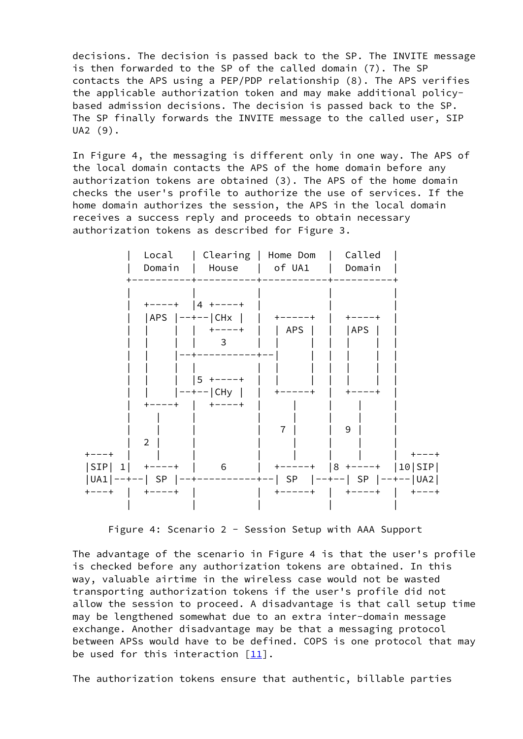decisions. The decision is passed back to the SP. The INVITE message is then forwarded to the SP of the called domain (7). The SP contacts the APS using a PEP/PDP relationship (8). The APS verifies the applicable authorization token and may make additional policy based admission decisions. The decision is passed back to the SP. The SP finally forwards the INVITE message to the called user, SIP UA2 (9).

 In Figure 4, the messaging is different only in one way. The APS of the local domain contacts the APS of the home domain before any authorization tokens are obtained (3). The APS of the home domain checks the user's profile to authorize the use of services. If the home domain authorizes the session, the APS in the local domain receives a success reply and proceeds to obtain necessary authorization tokens as described for Figure 3.



Figure 4: Scenario 2 - Session Setup with AAA Support

 The advantage of the scenario in Figure 4 is that the user's profile is checked before any authorization tokens are obtained. In this way, valuable airtime in the wireless case would not be wasted transporting authorization tokens if the user's profile did not allow the session to proceed. A disadvantage is that call setup time may be lengthened somewhat due to an extra inter-domain message exchange. Another disadvantage may be that a messaging protocol between APSs would have to be defined. COPS is one protocol that may be used for this interaction  $[11]$ .

The authorization tokens ensure that authentic, billable parties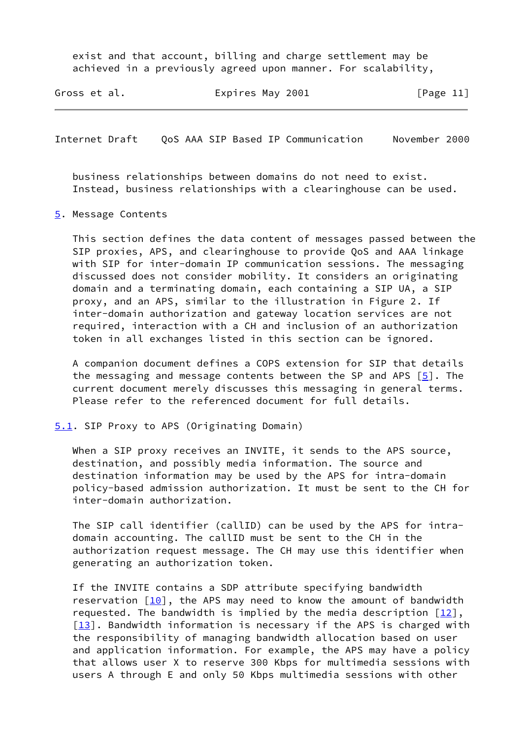exist and that account, billing and charge settlement may be achieved in a previously agreed upon manner. For scalability,

| Expires May 2001<br>Gross et al. |  | [Page 11] |
|----------------------------------|--|-----------|
|----------------------------------|--|-----------|

<span id="page-13-1"></span>Internet Draft QoS AAA SIP Based IP Communication November 2000

 business relationships between domains do not need to exist. Instead, business relationships with a clearinghouse can be used.

#### <span id="page-13-0"></span>[5](#page-13-0). Message Contents

 This section defines the data content of messages passed between the SIP proxies, APS, and clearinghouse to provide QoS and AAA linkage with SIP for inter-domain IP communication sessions. The messaging discussed does not consider mobility. It considers an originating domain and a terminating domain, each containing a SIP UA, a SIP proxy, and an APS, similar to the illustration in Figure 2. If inter-domain authorization and gateway location services are not required, interaction with a CH and inclusion of an authorization token in all exchanges listed in this section can be ignored.

 A companion document defines a COPS extension for SIP that details the messaging and message contents between the SP and APS [[5\]](#page-23-8). The current document merely discusses this messaging in general terms. Please refer to the referenced document for full details.

#### <span id="page-13-2"></span>[5.1](#page-13-2). SIP Proxy to APS (Originating Domain)

When a SIP proxy receives an INVITE, it sends to the APS source, destination, and possibly media information. The source and destination information may be used by the APS for intra-domain policy-based admission authorization. It must be sent to the CH for inter-domain authorization.

 The SIP call identifier (callID) can be used by the APS for intra domain accounting. The callID must be sent to the CH in the authorization request message. The CH may use this identifier when generating an authorization token.

 If the INVITE contains a SDP attribute specifying bandwidth reservation  $\lceil \frac{10}{10} \rceil$ , the APS may need to know the amount of bandwidth requested. The bandwidth is implied by the media description  $[12]$ ,  $[13]$ . Bandwidth information is necessary if the APS is charged with the responsibility of managing bandwidth allocation based on user and application information. For example, the APS may have a policy that allows user X to reserve 300 Kbps for multimedia sessions with users A through E and only 50 Kbps multimedia sessions with other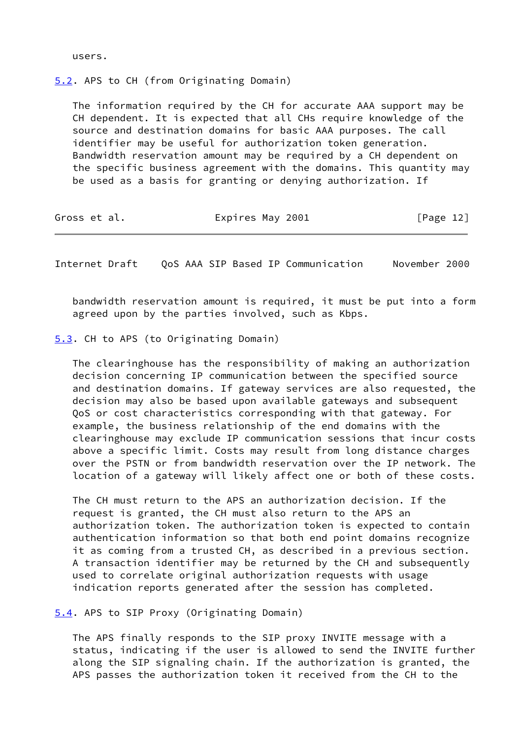users.

<span id="page-14-0"></span>[5.2](#page-14-0). APS to CH (from Originating Domain)

 The information required by the CH for accurate AAA support may be CH dependent. It is expected that all CHs require knowledge of the source and destination domains for basic AAA purposes. The call identifier may be useful for authorization token generation. Bandwidth reservation amount may be required by a CH dependent on the specific business agreement with the domains. This quantity may be used as a basis for granting or denying authorization. If

| Gross et al. | Expires May 2001 | [Page 12] |
|--------------|------------------|-----------|
|--------------|------------------|-----------|

<span id="page-14-2"></span>Internet Draft QoS AAA SIP Based IP Communication November 2000

 bandwidth reservation amount is required, it must be put into a form agreed upon by the parties involved, such as Kbps.

<span id="page-14-1"></span>[5.3](#page-14-1). CH to APS (to Originating Domain)

 The clearinghouse has the responsibility of making an authorization decision concerning IP communication between the specified source and destination domains. If gateway services are also requested, the decision may also be based upon available gateways and subsequent QoS or cost characteristics corresponding with that gateway. For example, the business relationship of the end domains with the clearinghouse may exclude IP communication sessions that incur costs above a specific limit. Costs may result from long distance charges over the PSTN or from bandwidth reservation over the IP network. The location of a gateway will likely affect one or both of these costs.

 The CH must return to the APS an authorization decision. If the request is granted, the CH must also return to the APS an authorization token. The authorization token is expected to contain authentication information so that both end point domains recognize it as coming from a trusted CH, as described in a previous section. A transaction identifier may be returned by the CH and subsequently used to correlate original authorization requests with usage indication reports generated after the session has completed.

<span id="page-14-3"></span>[5.4](#page-14-3). APS to SIP Proxy (Originating Domain)

 The APS finally responds to the SIP proxy INVITE message with a status, indicating if the user is allowed to send the INVITE further along the SIP signaling chain. If the authorization is granted, the APS passes the authorization token it received from the CH to the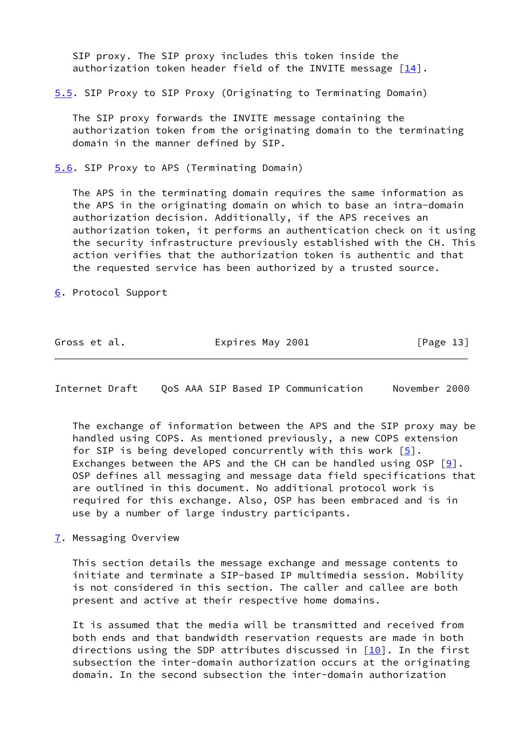SIP proxy. The SIP proxy includes this token inside the authorization token header field of the INVITE message  $[14]$  $[14]$ .

<span id="page-15-0"></span>[5.5](#page-15-0). SIP Proxy to SIP Proxy (Originating to Terminating Domain)

 The SIP proxy forwards the INVITE message containing the authorization token from the originating domain to the terminating domain in the manner defined by SIP.

<span id="page-15-1"></span>[5.6](#page-15-1). SIP Proxy to APS (Terminating Domain)

 The APS in the terminating domain requires the same information as the APS in the originating domain on which to base an intra-domain authorization decision. Additionally, if the APS receives an authorization token, it performs an authentication check on it using the security infrastructure previously established with the CH. This action verifies that the authorization token is authentic and that the requested service has been authorized by a trusted source.

<span id="page-15-2"></span>[6](#page-15-2). Protocol Support

| Gross et al. | Expires May 2001 | [Page 13] |
|--------------|------------------|-----------|
|--------------|------------------|-----------|

<span id="page-15-4"></span>Internet Draft QoS AAA SIP Based IP Communication November 2000

 The exchange of information between the APS and the SIP proxy may be handled using COPS. As mentioned previously, a new COPS extension for SIP is being developed concurrently with this work  $[5]$  $[5]$ . Exchanges between the APS and the CH can be handled using OSP  $[9]$  $[9]$ . OSP defines all messaging and message data field specifications that are outlined in this document. No additional protocol work is required for this exchange. Also, OSP has been embraced and is in use by a number of large industry participants.

<span id="page-15-3"></span>[7](#page-15-3). Messaging Overview

 This section details the message exchange and message contents to initiate and terminate a SIP-based IP multimedia session. Mobility is not considered in this section. The caller and callee are both present and active at their respective home domains.

 It is assumed that the media will be transmitted and received from both ends and that bandwidth reservation requests are made in both directions using the SDP attributes discussed in  $[10]$ . In the first subsection the inter-domain authorization occurs at the originating domain. In the second subsection the inter-domain authorization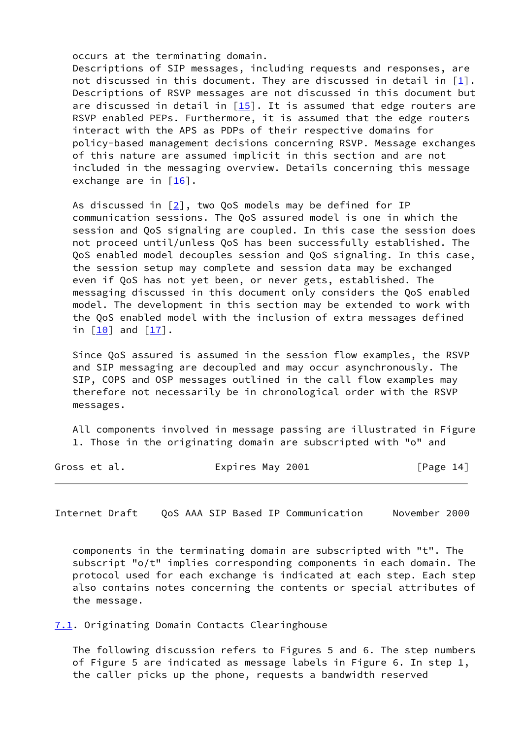occurs at the terminating domain.

 Descriptions of SIP messages, including requests and responses, are not discussed in this document. They are discussed in detail in  $[1]$  $[1]$ . Descriptions of RSVP messages are not discussed in this document but are discussed in detail in  $[15]$  $[15]$ . It is assumed that edge routers are RSVP enabled PEPs. Furthermore, it is assumed that the edge routers interact with the APS as PDPs of their respective domains for policy-based management decisions concerning RSVP. Message exchanges of this nature are assumed implicit in this section and are not included in the messaging overview. Details concerning this message exchange are in  $\lceil \frac{16}{1} \rceil$ .

 As discussed in [\[2](#page-23-5)], two QoS models may be defined for IP communication sessions. The QoS assured model is one in which the session and QoS signaling are coupled. In this case the session does not proceed until/unless QoS has been successfully established. The QoS enabled model decouples session and QoS signaling. In this case, the session setup may complete and session data may be exchanged even if QoS has not yet been, or never gets, established. The messaging discussed in this document only considers the QoS enabled model. The development in this section may be extended to work with the QoS enabled model with the inclusion of extra messages defined in [[10\]](#page-24-4) and [\[17\]](#page-24-11).

 Since QoS assured is assumed in the session flow examples, the RSVP and SIP messaging are decoupled and may occur asynchronously. The SIP, COPS and OSP messages outlined in the call flow examples may therefore not necessarily be in chronological order with the RSVP messages.

 All components involved in message passing are illustrated in Figure 1. Those in the originating domain are subscripted with "o" and

Gross et al. **Expires May 2001** [Page 14]

<span id="page-16-1"></span>Internet Draft QoS AAA SIP Based IP Communication November 2000

 components in the terminating domain are subscripted with "t". The subscript "o/t" implies corresponding components in each domain. The protocol used for each exchange is indicated at each step. Each step also contains notes concerning the contents or special attributes of the message.

<span id="page-16-0"></span>[7.1](#page-16-0). Originating Domain Contacts Clearinghouse

 The following discussion refers to Figures 5 and 6. The step numbers of Figure 5 are indicated as message labels in Figure 6. In step 1, the caller picks up the phone, requests a bandwidth reserved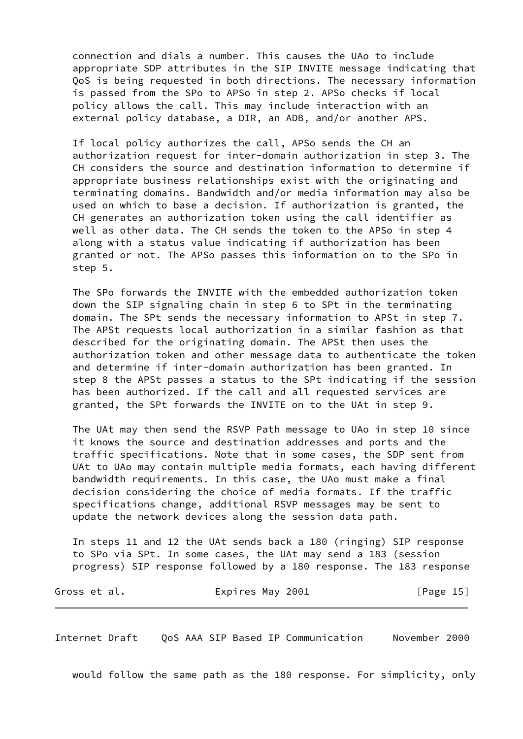connection and dials a number. This causes the UAo to include appropriate SDP attributes in the SIP INVITE message indicating that QoS is being requested in both directions. The necessary information is passed from the SPo to APSo in step 2. APSo checks if local policy allows the call. This may include interaction with an external policy database, a DIR, an ADB, and/or another APS.

 If local policy authorizes the call, APSo sends the CH an authorization request for inter-domain authorization in step 3. The CH considers the source and destination information to determine if appropriate business relationships exist with the originating and terminating domains. Bandwidth and/or media information may also be used on which to base a decision. If authorization is granted, the CH generates an authorization token using the call identifier as well as other data. The CH sends the token to the APSo in step 4 along with a status value indicating if authorization has been granted or not. The APSo passes this information on to the SPo in step 5.

 The SPo forwards the INVITE with the embedded authorization token down the SIP signaling chain in step 6 to SPt in the terminating domain. The SPt sends the necessary information to APSt in step 7. The APSt requests local authorization in a similar fashion as that described for the originating domain. The APSt then uses the authorization token and other message data to authenticate the token and determine if inter-domain authorization has been granted. In step 8 the APSt passes a status to the SPt indicating if the session has been authorized. If the call and all requested services are granted, the SPt forwards the INVITE on to the UAt in step 9.

 The UAt may then send the RSVP Path message to UAo in step 10 since it knows the source and destination addresses and ports and the traffic specifications. Note that in some cases, the SDP sent from UAt to UAo may contain multiple media formats, each having different bandwidth requirements. In this case, the UAo must make a final decision considering the choice of media formats. If the traffic specifications change, additional RSVP messages may be sent to update the network devices along the session data path.

 In steps 11 and 12 the UAt sends back a 180 (ringing) SIP response to SPo via SPt. In some cases, the UAt may send a 183 (session progress) SIP response followed by a 180 response. The 183 response

| Gross et al. | Expires May 2001 | [Page 15] |
|--------------|------------------|-----------|
|--------------|------------------|-----------|

Internet Draft QoS AAA SIP Based IP Communication November 2000

would follow the same path as the 180 response. For simplicity, only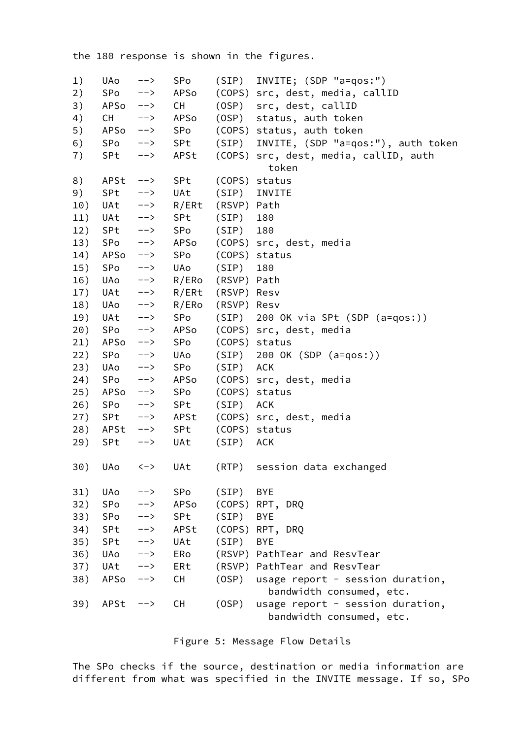the 180 response is shown in the figures.

| 1)  | UAo                | $--&>$        | SPo       | (SIP)       | INVITE; (SDP "a=qos:")                  |
|-----|--------------------|---------------|-----------|-------------|-----------------------------------------|
| 2)  | SPo                | $-->$         | APSo      |             | (COPS) src, dest, media, callID         |
| 3)  | $APSO \quad --\;$  |               | <b>CH</b> | (OSP)       | src, dest, callID                       |
| 4)  | <b>CH</b>          | $-->$         | APSo      | (OSP)       | status, auth token                      |
| 5)  | APSo               | ーー>           | SPo       |             | (COPS) status, auth token               |
| 6)  | SPo                | $-->$         | SPt       | (SIP)       | INVITE, (SDP "a=qos:"), auth token      |
| 7)  | SPt                | $-->$         | APSt      |             | (COPS) src, dest, media, callID, auth   |
|     |                    |               |           |             | token                                   |
| 8)  | $APSt$ -->         |               | SPt       |             | (COPS) status                           |
| 9)  | SPt                | -->           | UAt       | (SIP)       | INVITE                                  |
| 10) |                    | UAt -->       | R/ERt     | (RSVP) Path |                                         |
| 11) | UAt -->            |               | SPt       | $(SIP)$ 180 |                                         |
| 12) | $SPL \t -->$       |               | SPo       | $(SIP)$ 180 |                                         |
| 13) | $SPo \t -->$       |               | APSo      |             | (COPS) src, dest, media                 |
| 14) | APSo               | $--&>$        | SPo       |             | (COPS) status                           |
| 15) | SPo                | $--&>$        | UAo       | (SIP)       | 180                                     |
| 16) | UAo                | ——>           | R/ERo     | (RSVP) Path |                                         |
| 17) | $UAt$ $\leftarrow$ |               | R/ERt     | (RSVP) Resv |                                         |
| 18) | UAo -->            |               | R/ERo     | (RSVP) Resv |                                         |
| 19) | $UAt$ -->          |               | SPo       |             | $(SIP)$ 200 OK via SPt $(SDP (a=qos:))$ |
| 20) | SPo                | $--&>$        | APSo      |             | (COPS) src, dest, media                 |
| 21) | APSo               | ——>           | SPo       |             | (COPS) status                           |
| 22) | SPo                | $\rightarrow$ | UAo       |             | $(SIP)$ 200 OK $(SDP (a=qos:))$         |
| 23) | $UAO \t---\t>$     |               | SPo       | (SIP) ACK   |                                         |
| 24) | $SPo \t -->$       |               | APSo      |             | (COPS) src, dest, media                 |
| 25) | APSo               | $\rightarrow$ | SPo       |             | (COPS) status                           |
| 26) | SPo                | $--&>$        | SPt       | (SIP) ACK   |                                         |
| 27) | $SPL \t -->$       |               | APSt      |             | (COPS) src, dest, media                 |
| 28) | APSt -->           |               | SPt       |             | (COPS) status                           |
| 29) | SPt                | $--&>$        | UAt       | (SIP)       | ACK                                     |
|     |                    |               |           |             |                                         |
|     | 30) UAo <->        |               | UAt       |             | (RTP) session data exchanged            |
|     |                    |               |           |             |                                         |
| 31) | UAo                | -->           | SPo       | (SIP)       | <b>BYE</b>                              |
| 32) | SPo                | -->           | APSo      |             | (COPS) RPT, DRQ                         |
| 33) | SPo                | $\rightarrow$ | SPt       | (SIP)       | <b>BYE</b>                              |
| 34) | SPt                | ーー>           | APSt      |             | (COPS) RPT, DRQ                         |
| 35) | SPt                | -->           | UAt       | (SIP)       | <b>BYE</b>                              |
| 36) | UAo                | -->           | ERo       |             | (RSVP) PathTear and ResvTear            |
| 37) | UAt                | ーー>           | ERt       |             | (RSVP) PathTear and ResvTear            |
| 38) | APSo               | -->           | <b>CH</b> | (OSP)       | usage report - session duration,        |
|     |                    |               |           |             | bandwidth consumed, etc.                |
| 39) | APSt               | ーー>           | <b>CH</b> | (OSP)       | usage report - session duration,        |
|     |                    |               |           |             | bandwidth consumed, etc.                |

Figure 5: Message Flow Details

 The SPo checks if the source, destination or media information are different from what was specified in the INVITE message. If so, SPo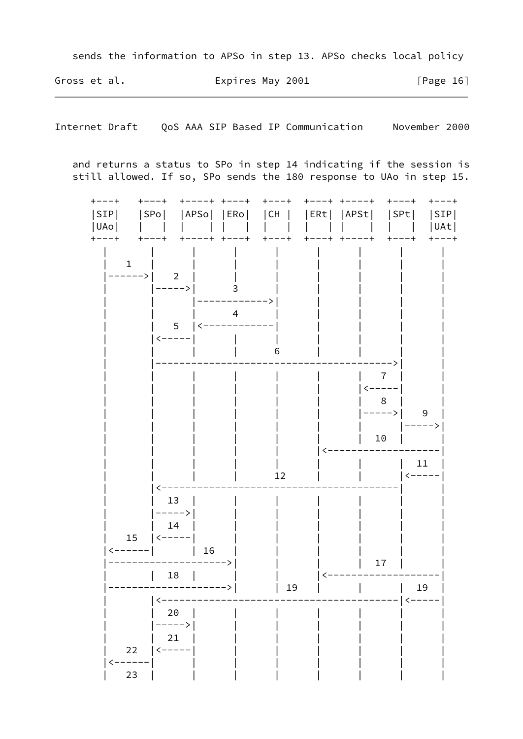sends the information to APSo in step 13. APSo checks local policy

Gross et al. Expires May 2001  $[Page 16]$ 

Internet Draft QoS AAA SIP Based IP Communication Movember 2000

and returns a status to SPo in step 14 indicating if the session is still allowed. If so, SPo sends the 180 response to UAo in step 15.

| $+ - - - +$  |               | $+ - - - +$<br>$\pm$            | ----+ +---+          | $+ - - - +$ | $+ - - - +$ $+ - - - - +$         |                | $+ - - - +$<br>---+                             |
|--------------|---------------|---------------------------------|----------------------|-------------|-----------------------------------|----------------|-------------------------------------------------|
| SIP          |               |                                 |                      |             |                                   |                | SPo   APSo   ERo   CH    ERt   APSt   SPt   SIP |
| UAo          |               |                                 |                      |             | <b>Contract Contract Contract</b> |                | UAt <br>$\begin{array}{ccc} \end{array}$        |
| $- - +$      |               | $+ - - - +$<br>$+$ -            | $--- +$<br>$-- +$    | $+ - - - +$ | $+ - - - +$                       | $-- +$         | $+ - - - +$<br>$+ - - - +$                      |
|              |               |                                 |                      |             |                                   |                |                                                 |
| $\mathbf{1}$ |               |                                 |                      |             |                                   |                |                                                 |
|              | $---->$       | $\overline{\phantom{0}}$ 2      |                      |             |                                   |                |                                                 |
|              |               | ----->                          |                      |             |                                   |                |                                                 |
|              |               |                                 |                      |             |                                   |                |                                                 |
|              |               |                                 | $\overline{4}$       |             |                                   |                |                                                 |
|              |               | 5 <sup>1</sup>                  | ------------         |             |                                   |                |                                                 |
|              |               |                                 |                      |             |                                   |                |                                                 |
|              |               |                                 |                      | 6           |                                   |                |                                                 |
|              |               |                                 |                      |             |                                   |                |                                                 |
|              |               |                                 |                      |             |                                   | 7              |                                                 |
|              |               |                                 |                      |             |                                   | <----          |                                                 |
|              |               |                                 |                      |             |                                   | 8 <sup>8</sup> |                                                 |
|              |               |                                 |                      |             |                                   | $--->$         | 9                                               |
|              |               |                                 |                      |             |                                   |                | ----->                                          |
|              |               |                                 |                      |             |                                   | 10             |                                                 |
|              |               |                                 |                      |             |                                   |                |                                                 |
|              |               |                                 |                      |             |                                   |                | 11                                              |
|              |               |                                 |                      | 12          |                                   |                |                                                 |
|              |               |                                 |                      |             |                                   |                |                                                 |
|              |               | 13                              |                      |             |                                   |                |                                                 |
|              |               | ----->                          |                      |             |                                   |                |                                                 |
|              |               | 14                              |                      |             |                                   |                |                                                 |
|              | 15<br>------- | <-----                          |                      |             |                                   |                |                                                 |
|              |               |                                 | $\vert$ 16<br>$--->$ |             |                                   |                |                                                 |
|              |               | 18                              |                      |             |                                   | 17             |                                                 |
|              |               |                                 |                      | 19          |                                   |                | 19                                              |
|              |               |                                 |                      |             |                                   |                | くーーーー                                           |
|              |               | 20                              |                      |             |                                   |                |                                                 |
|              |               | $--->\,$                        |                      |             |                                   |                |                                                 |
|              |               | 21                              |                      |             |                                   |                |                                                 |
|              | 22            | $\left\langle ---\right\rangle$ |                      |             |                                   |                |                                                 |
| <-----       |               |                                 |                      |             |                                   |                |                                                 |
|              | 23            |                                 |                      |             |                                   |                |                                                 |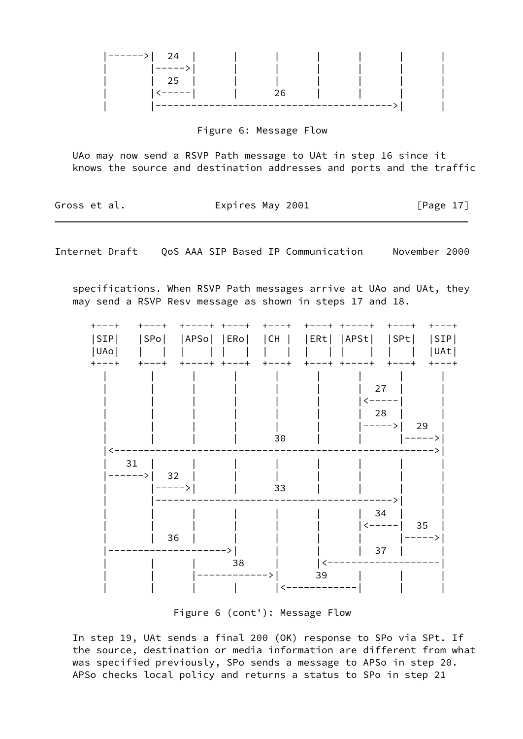| $ ----- \rangle   24  $ |  |          |  |  |
|-------------------------|--|----------|--|--|
| . ーーーーー>                |  |          |  |  |
| 25                      |  |          |  |  |
| <-----                  |  |          |  |  |
|                         |  | -------- |  |  |

#### Figure 6: Message Flow

 UAo may now send a RSVP Path message to UAt in step 16 since it knows the source and destination addresses and ports and the traffic

| Gross et al. | Expires May 2001 | [Page 17] |
|--------------|------------------|-----------|
|              |                  |           |

Internet Draft QoS AAA SIP Based IP Communication November 2000

 specifications. When RSVP Path messages arrive at UAo and UAt, they may send a RSVP Resv message as shown in steps 17 and 18.

| SIP <br> UAO  | APSo <br> SPo <br> ERo | CH<br> ERt | APSt <br> SPt <br> SIP <br> UAt                      |
|---------------|------------------------|------------|------------------------------------------------------|
| $+ - - - +$   |                        | 30         | $- - +$<br>27<br><----<br>28<br>29<br>ーーーー><br>----> |
| 31<br>$---->$ | 32<br>$--->$           | 33         |                                                      |
|               | 36                     |            | 34<br>35<br>37                                       |
|               | 38                     | 39         |                                                      |

Figure 6 (cont'): Message Flow

 In step 19, UAt sends a final 200 (OK) response to SPo via SPt. If the source, destination or media information are different from what was specified previously, SPo sends a message to APSo in step 20. APSo checks local policy and returns a status to SPo in step 21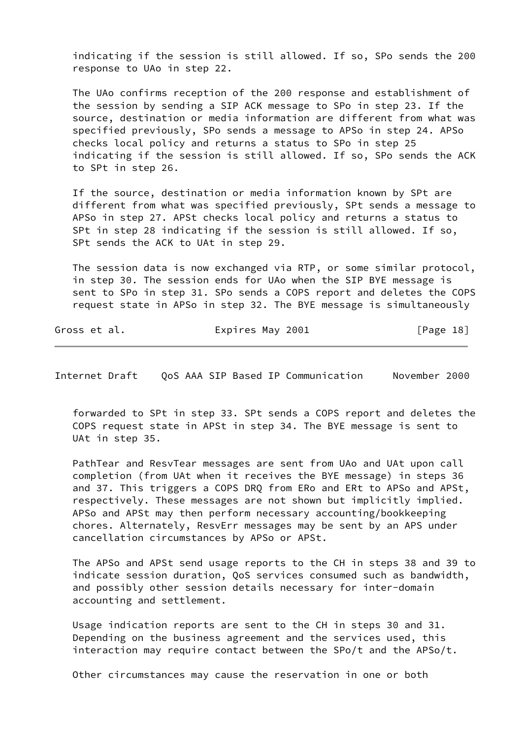indicating if the session is still allowed. If so, SPo sends the 200 response to UAo in step 22.

 The UAo confirms reception of the 200 response and establishment of the session by sending a SIP ACK message to SPo in step 23. If the source, destination or media information are different from what was specified previously, SPo sends a message to APSo in step 24. APSo checks local policy and returns a status to SPo in step 25 indicating if the session is still allowed. If so, SPo sends the ACK to SPt in step 26.

 If the source, destination or media information known by SPt are different from what was specified previously, SPt sends a message to APSo in step 27. APSt checks local policy and returns a status to SPt in step 28 indicating if the session is still allowed. If so, SPt sends the ACK to UAt in step 29.

 The session data is now exchanged via RTP, or some similar protocol, in step 30. The session ends for UAo when the SIP BYE message is sent to SPo in step 31. SPo sends a COPS report and deletes the COPS request state in APSo in step 32. The BYE message is simultaneously

| Gross et al. | Expires May 2001 | [Page 18] |  |
|--------------|------------------|-----------|--|
|              |                  |           |  |

<span id="page-21-0"></span>Internet Draft QoS AAA SIP Based IP Communication November 2000

 forwarded to SPt in step 33. SPt sends a COPS report and deletes the COPS request state in APSt in step 34. The BYE message is sent to UAt in step 35.

 PathTear and ResvTear messages are sent from UAo and UAt upon call completion (from UAt when it receives the BYE message) in steps 36 and 37. This triggers a COPS DRQ from ERo and ERt to APSo and APSt, respectively. These messages are not shown but implicitly implied. APSo and APSt may then perform necessary accounting/bookkeeping chores. Alternately, ResvErr messages may be sent by an APS under cancellation circumstances by APSo or APSt.

 The APSo and APSt send usage reports to the CH in steps 38 and 39 to indicate session duration, QoS services consumed such as bandwidth, and possibly other session details necessary for inter-domain accounting and settlement.

 Usage indication reports are sent to the CH in steps 30 and 31. Depending on the business agreement and the services used, this interaction may require contact between the SPo/t and the APSo/t.

Other circumstances may cause the reservation in one or both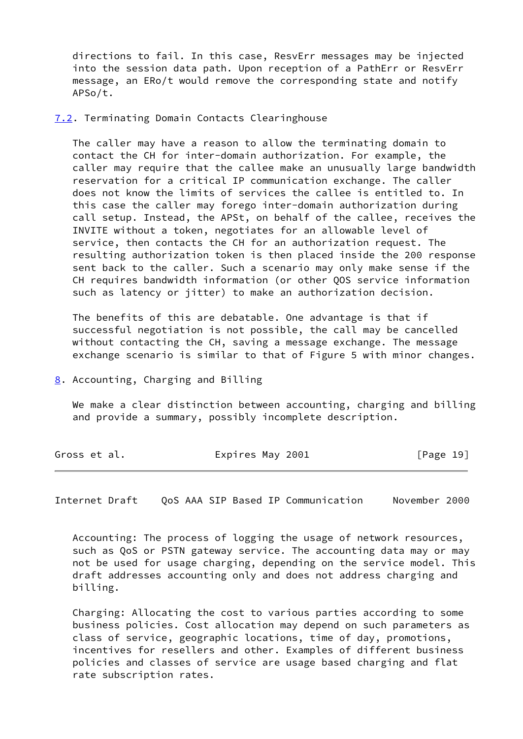directions to fail. In this case, ResvErr messages may be injected into the session data path. Upon reception of a PathErr or ResvErr message, an ERo/t would remove the corresponding state and notify APSo/t.

<span id="page-22-0"></span>[7.2](#page-22-0). Terminating Domain Contacts Clearinghouse

 The caller may have a reason to allow the terminating domain to contact the CH for inter-domain authorization. For example, the caller may require that the callee make an unusually large bandwidth reservation for a critical IP communication exchange. The caller does not know the limits of services the callee is entitled to. In this case the caller may forego inter-domain authorization during call setup. Instead, the APSt, on behalf of the callee, receives the INVITE without a token, negotiates for an allowable level of service, then contacts the CH for an authorization request. The resulting authorization token is then placed inside the 200 response sent back to the caller. Such a scenario may only make sense if the CH requires bandwidth information (or other QOS service information such as latency or jitter) to make an authorization decision.

 The benefits of this are debatable. One advantage is that if successful negotiation is not possible, the call may be cancelled without contacting the CH, saving a message exchange. The message exchange scenario is similar to that of Figure 5 with minor changes.

<span id="page-22-1"></span>[8](#page-22-1). Accounting, Charging and Billing

 We make a clear distinction between accounting, charging and billing and provide a summary, possibly incomplete description.

| Expires May 2001<br>[Page 19]<br>Gross et al. |
|-----------------------------------------------|
|-----------------------------------------------|

<span id="page-22-2"></span>Internet Draft QoS AAA SIP Based IP Communication November 2000

 Accounting: The process of logging the usage of network resources, such as QoS or PSTN gateway service. The accounting data may or may not be used for usage charging, depending on the service model. This draft addresses accounting only and does not address charging and billing.

 Charging: Allocating the cost to various parties according to some business policies. Cost allocation may depend on such parameters as class of service, geographic locations, time of day, promotions, incentives for resellers and other. Examples of different business policies and classes of service are usage based charging and flat rate subscription rates.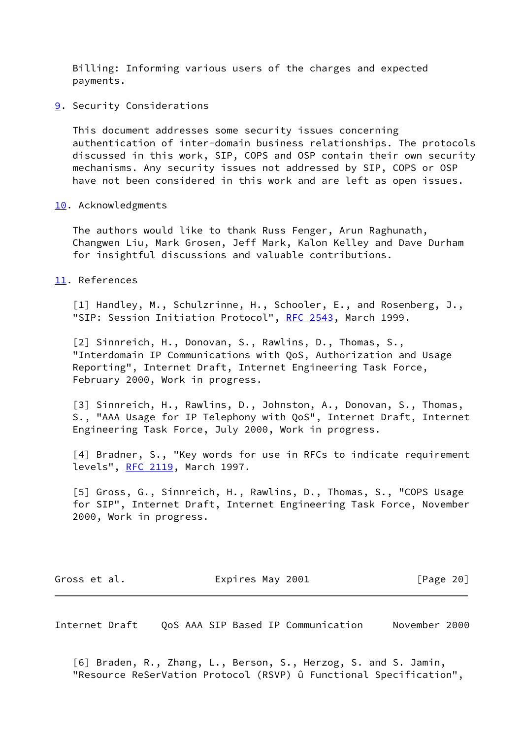Billing: Informing various users of the charges and expected payments.

<span id="page-23-0"></span>**[9](#page-23-0).** Security Considerations

 This document addresses some security issues concerning authentication of inter-domain business relationships. The protocols discussed in this work, SIP, COPS and OSP contain their own security mechanisms. Any security issues not addressed by SIP, COPS or OSP have not been considered in this work and are left as open issues.

<span id="page-23-1"></span>[10.](#page-23-1) Acknowledgments

 The authors would like to thank Russ Fenger, Arun Raghunath, Changwen Liu, Mark Grosen, Jeff Mark, Kalon Kelley and Dave Durham for insightful discussions and valuable contributions.

<span id="page-23-2"></span>[11.](#page-23-2) References

<span id="page-23-4"></span> [1] Handley, M., Schulzrinne, H., Schooler, E., and Rosenberg, J., "SIP: Session Initiation Protocol", [RFC 2543,](https://datatracker.ietf.org/doc/pdf/rfc2543) March 1999.

<span id="page-23-5"></span> [2] Sinnreich, H., Donovan, S., Rawlins, D., Thomas, S., "Interdomain IP Communications with QoS, Authorization and Usage Reporting", Internet Draft, Internet Engineering Task Force, February 2000, Work in progress.

<span id="page-23-6"></span> [3] Sinnreich, H., Rawlins, D., Johnston, A., Donovan, S., Thomas, S., "AAA Usage for IP Telephony with QoS", Internet Draft, Internet Engineering Task Force, July 2000, Work in progress.

<span id="page-23-7"></span> [4] Bradner, S., "Key words for use in RFCs to indicate requirement levels", [RFC 2119](https://datatracker.ietf.org/doc/pdf/rfc2119), March 1997.

<span id="page-23-8"></span> [5] Gross, G., Sinnreich, H., Rawlins, D., Thomas, S., "COPS Usage for SIP", Internet Draft, Internet Engineering Task Force, November 2000, Work in progress.

Gross et al. Expires May 2001 [Page 20]

<span id="page-23-3"></span>Internet Draft QoS AAA SIP Based IP Communication November 2000

<span id="page-23-9"></span> [6] Braden, R., Zhang, L., Berson, S., Herzog, S. and S. Jamin, "Resource ReSerVation Protocol (RSVP) û Functional Specification",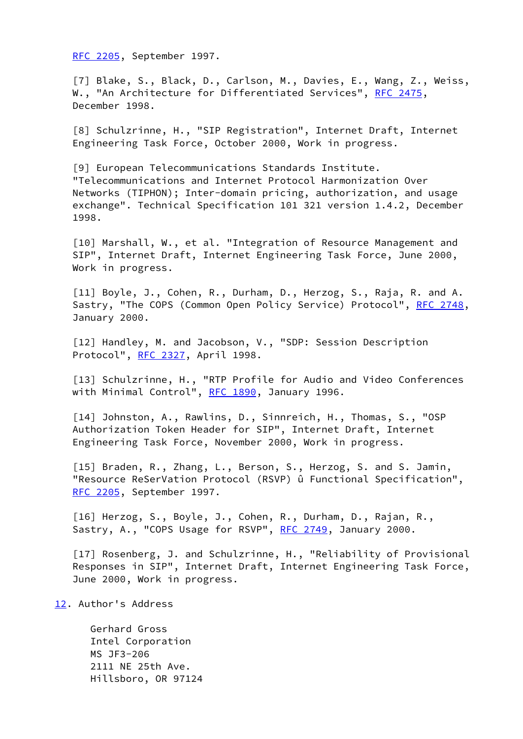[RFC 2205](https://datatracker.ietf.org/doc/pdf/rfc2205), September 1997.

<span id="page-24-1"></span> [7] Blake, S., Black, D., Carlson, M., Davies, E., Wang, Z., Weiss, W., "An Architecture for Differentiated Services", [RFC 2475,](https://datatracker.ietf.org/doc/pdf/rfc2475) December 1998.

<span id="page-24-2"></span> [8] Schulzrinne, H., "SIP Registration", Internet Draft, Internet Engineering Task Force, October 2000, Work in progress.

<span id="page-24-3"></span>[9] European Telecommunications Standards Institute. "Telecommunications and Internet Protocol Harmonization Over Networks (TIPHON); Inter-domain pricing, authorization, and usage exchange". Technical Specification 101 321 version 1.4.2, December 1998.

<span id="page-24-4"></span> [10] Marshall, W., et al. "Integration of Resource Management and SIP", Internet Draft, Internet Engineering Task Force, June 2000, Work in progress.

<span id="page-24-5"></span> [11] Boyle, J., Cohen, R., Durham, D., Herzog, S., Raja, R. and A. Sastry, "The COPS (Common Open Policy Service) Protocol", [RFC 2748](https://datatracker.ietf.org/doc/pdf/rfc2748), January 2000.

<span id="page-24-6"></span> [12] Handley, M. and Jacobson, V., "SDP: Session Description Protocol", [RFC 2327,](https://datatracker.ietf.org/doc/pdf/rfc2327) April 1998.

<span id="page-24-7"></span> [13] Schulzrinne, H., "RTP Profile for Audio and Video Conferences with Minimal Control", [RFC 1890,](https://datatracker.ietf.org/doc/pdf/rfc1890) January 1996.

<span id="page-24-8"></span> [14] Johnston, A., Rawlins, D., Sinnreich, H., Thomas, S., "OSP Authorization Token Header for SIP", Internet Draft, Internet Engineering Task Force, November 2000, Work in progress.

<span id="page-24-9"></span> [15] Braden, R., Zhang, L., Berson, S., Herzog, S. and S. Jamin, "Resource ReSerVation Protocol (RSVP) û Functional Specification", [RFC 2205](https://datatracker.ietf.org/doc/pdf/rfc2205), September 1997.

<span id="page-24-10"></span> [16] Herzog, S., Boyle, J., Cohen, R., Durham, D., Rajan, R., Sastry, A., "COPS Usage for RSVP", [RFC 2749,](https://datatracker.ietf.org/doc/pdf/rfc2749) January 2000.

<span id="page-24-11"></span> [17] Rosenberg, J. and Schulzrinne, H., "Reliability of Provisional Responses in SIP", Internet Draft, Internet Engineering Task Force, June 2000, Work in progress.

<span id="page-24-0"></span>[12.](#page-24-0) Author's Address

 Gerhard Gross Intel Corporation MS JF3-206 2111 NE 25th Ave. Hillsboro, OR 97124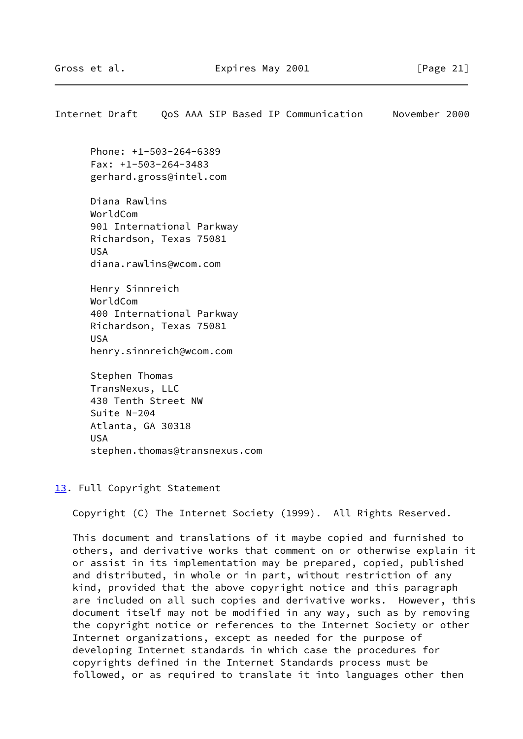<span id="page-25-1"></span>Internet Draft QoS AAA SIP Based IP Communication November 2000

 Phone: +1-503-264-6389 Fax: +1-503-264-3483 gerhard.gross@intel.com

 Diana Rawlins WorldCom 901 International Parkway Richardson, Texas 75081 USA diana.rawlins@wcom.com

 Henry Sinnreich WorldCom 400 International Parkway Richardson, Texas 75081 USA henry.sinnreich@wcom.com

 Stephen Thomas TransNexus, LLC 430 Tenth Street NW Suite N-204 Atlanta, GA 30318 USA stephen.thomas@transnexus.com

<span id="page-25-0"></span>[13.](#page-25-0) Full Copyright Statement

Copyright (C) The Internet Society (1999). All Rights Reserved.

 This document and translations of it maybe copied and furnished to others, and derivative works that comment on or otherwise explain it or assist in its implementation may be prepared, copied, published and distributed, in whole or in part, without restriction of any kind, provided that the above copyright notice and this paragraph are included on all such copies and derivative works. However, this document itself may not be modified in any way, such as by removing the copyright notice or references to the Internet Society or other Internet organizations, except as needed for the purpose of developing Internet standards in which case the procedures for copyrights defined in the Internet Standards process must be followed, or as required to translate it into languages other then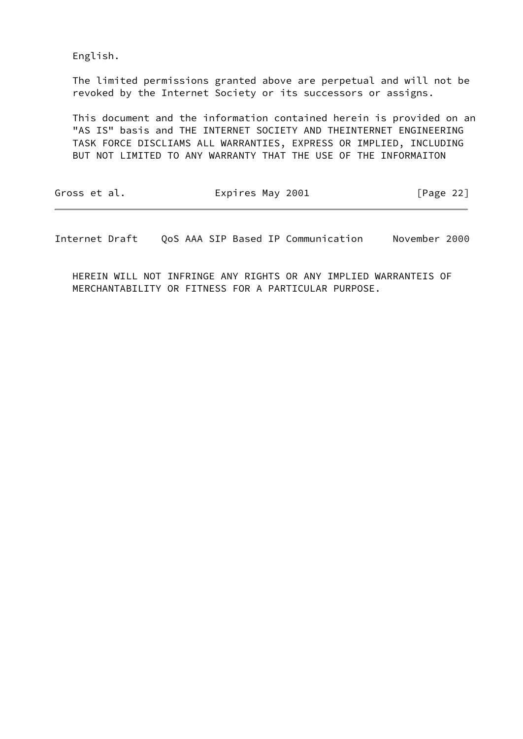English.

 The limited permissions granted above are perpetual and will not be revoked by the Internet Society or its successors or assigns.

 This document and the information contained herein is provided on an "AS IS" basis and THE INTERNET SOCIETY AND THEINTERNET ENGINEERING TASK FORCE DISCLIAMS ALL WARRANTIES, EXPRESS OR IMPLIED, INCLUDING BUT NOT LIMITED TO ANY WARRANTY THAT THE USE OF THE INFORMAITON

| Gross et al. | Expires May 2001 | [Page 22] |
|--------------|------------------|-----------|
|              |                  |           |

Internet Draft QoS AAA SIP Based IP Communication November 2000

 HEREIN WILL NOT INFRINGE ANY RIGHTS OR ANY IMPLIED WARRANTEIS OF MERCHANTABILITY OR FITNESS FOR A PARTICULAR PURPOSE.